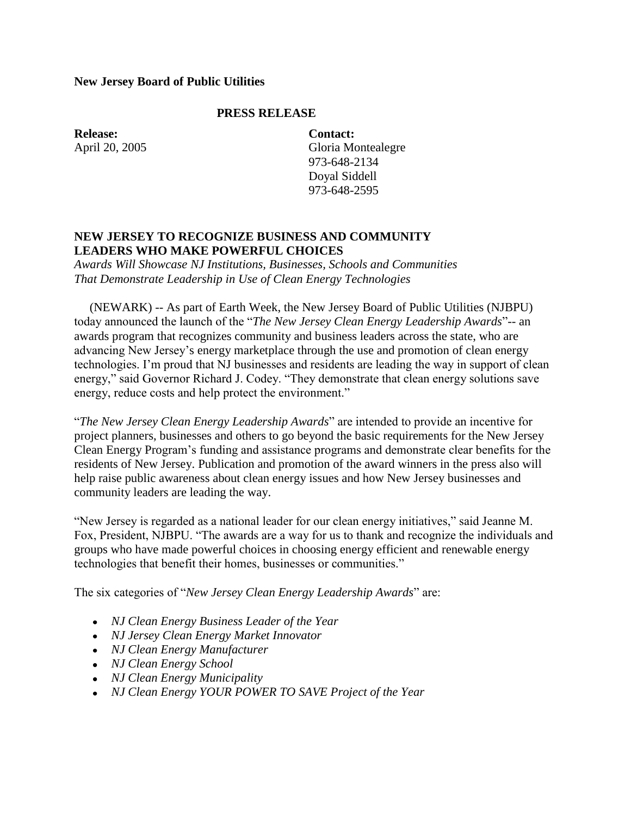## **New Jersey Board of Public Utilities**

## **PRESS RELEASE**

**Release:** April 20, 2005

**Contact:** Gloria Montealegre 973-648-2134 Doyal Siddell 973-648-2595

## **NEW JERSEY TO RECOGNIZE BUSINESS AND COMMUNITY LEADERS WHO MAKE POWERFUL CHOICES**

*Awards Will Showcase NJ Institutions, Businesses, Schools and Communities That Demonstrate Leadership in Use of Clean Energy Technologies*

 (NEWARK) -- As part of Earth Week, the New Jersey Board of Public Utilities (NJBPU) today announced the launch of the "*The New Jersey Clean Energy Leadership Awards*"-- an awards program that recognizes community and business leaders across the state, who are advancing New Jersey's energy marketplace through the use and promotion of clean energy technologies. I'm proud that NJ businesses and residents are leading the way in support of clean energy," said Governor Richard J. Codey. "They demonstrate that clean energy solutions save energy, reduce costs and help protect the environment."

"*The New Jersey Clean Energy Leadership Awards*" are intended to provide an incentive for project planners, businesses and others to go beyond the basic requirements for the New Jersey Clean Energy Program's funding and assistance programs and demonstrate clear benefits for the residents of New Jersey. Publication and promotion of the award winners in the press also will help raise public awareness about clean energy issues and how New Jersey businesses and community leaders are leading the way.

"New Jersey is regarded as a national leader for our clean energy initiatives," said Jeanne M. Fox, President, NJBPU. "The awards are a way for us to thank and recognize the individuals and groups who have made powerful choices in choosing energy efficient and renewable energy technologies that benefit their homes, businesses or communities."

The six categories of "*New Jersey Clean Energy Leadership Awards*" are:

- *NJ Clean Energy Business Leader of the Year*
- *NJ Jersey Clean Energy Market Innovator*
- *NJ Clean Energy Manufacturer*
- *NJ Clean Energy School*
- *NJ Clean Energy Municipality*
- *NJ Clean Energy YOUR POWER TO SAVE Project of the Year*